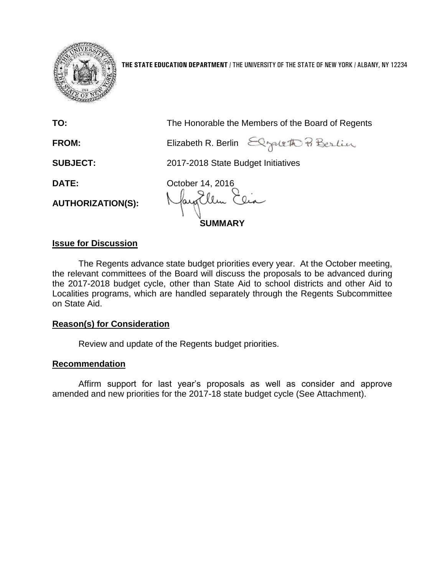

**THE STATE EDUCATION DEPARTMENT** / THE UNIVERSITY OF THE STATE OF NEW YORK / ALBANY, NY 12234

| TO:                      | The Honorable the Members of the Board of Regents |  |
|--------------------------|---------------------------------------------------|--|
| <b>FROM:</b>             | Elizabeth R. Berlin Elgaleth Pi Berlin            |  |
| <b>SUBJECT:</b>          | 2017-2018 State Budget Initiatives                |  |
| <b>DATE:</b>             | October 14, 2016                                  |  |
| <b>AUTHORIZATION(S):</b> | Nayorllen Elia<br><b>SUMMARY</b>                  |  |
|                          |                                                   |  |

## **Issue for Discussion**

The Regents advance state budget priorities every year. At the October meeting, the relevant committees of the Board will discuss the proposals to be advanced during the 2017-2018 budget cycle, other than State Aid to school districts and other Aid to Localities programs, which are handled separately through the Regents Subcommittee on State Aid.

## **Reason(s) for Consideration**

Review and update of the Regents budget priorities.

## **Recommendation**

Affirm support for last year's proposals as well as consider and approve amended and new priorities for the 2017-18 state budget cycle (See Attachment).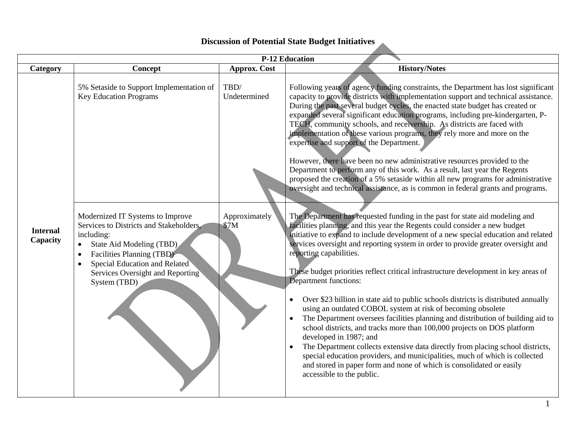## **Discussion of Potential State Budget Initiatives**

|                             | <b>P-12 Education</b>                                                                                                                                                                                                                                                          |                       |                                                                                                                                                                                                                                                                                                                                                                                                                                                                                                                                                                                                                                                                                                                                                                                                                                                                                                                                                                                                                                                                                                                 |  |
|-----------------------------|--------------------------------------------------------------------------------------------------------------------------------------------------------------------------------------------------------------------------------------------------------------------------------|-----------------------|-----------------------------------------------------------------------------------------------------------------------------------------------------------------------------------------------------------------------------------------------------------------------------------------------------------------------------------------------------------------------------------------------------------------------------------------------------------------------------------------------------------------------------------------------------------------------------------------------------------------------------------------------------------------------------------------------------------------------------------------------------------------------------------------------------------------------------------------------------------------------------------------------------------------------------------------------------------------------------------------------------------------------------------------------------------------------------------------------------------------|--|
| Category                    | Concept                                                                                                                                                                                                                                                                        | <b>Approx. Cost</b>   | <b>History/Notes</b>                                                                                                                                                                                                                                                                                                                                                                                                                                                                                                                                                                                                                                                                                                                                                                                                                                                                                                                                                                                                                                                                                            |  |
|                             | 5% Setaside to Support Implementation of<br><b>Key Education Programs</b>                                                                                                                                                                                                      | TBD/<br>Undetermined  | Following years of agency funding constraints, the Department has lost significant<br>capacity to provide districts with implementation support and technical assistance.<br>During the past several budget cycles, the enacted state budget has created or<br>expanded several significant education programs, including pre-kindergarten, P-<br>TECH, community schools, and receivership. As districts are faced with<br>implementation of these various programs, they rely more and more on the<br>expertise and support of the Department.<br>However, there have been no new administrative resources provided to the<br>Department to perform any of this work. As a result, last year the Regents<br>proposed the creation of a 5% setaside within all new programs for administrative<br>oversight and technical assistance, as is common in federal grants and programs.                                                                                                                                                                                                                             |  |
| <b>Internal</b><br>Capacity | Modernized IT Systems to Improve<br>Services to Districts and Stakeholders,<br>including:<br>State Aid Modeling (TBD)<br>$\bullet$<br>Facilities Planning (TBD)<br>$\bullet$<br>Special Education and Related<br>$\bullet$<br>Services Oversight and Reporting<br>System (TBD) | Approximately<br>\$7M | The Department has requested funding in the past for state aid modeling and<br>facilities planning, and this year the Regents could consider a new budget<br>initiative to expand to include development of a new special education and related<br>services oversight and reporting system in order to provide greater oversight and<br>reporting capabilities.<br>These budget priorities reflect critical infrastructure development in key areas of<br>Department functions:<br>Over \$23 billion in state aid to public schools districts is distributed annually<br>using an outdated COBOL system at risk of becoming obsolete<br>The Department oversees facilities planning and distribution of building aid to<br>$\bullet$<br>school districts, and tracks more than 100,000 projects on DOS platform<br>developed in 1987; and<br>The Department collects extensive data directly from placing school districts,<br>special education providers, and municipalities, much of which is collected<br>and stored in paper form and none of which is consolidated or easily<br>accessible to the public. |  |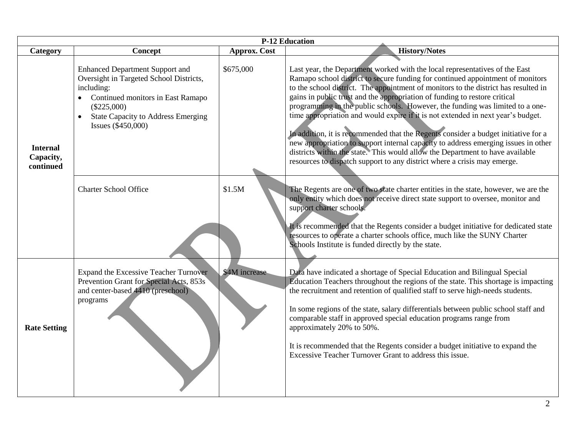| <b>P-12 Education</b>                     |                                                                                                                                                                                                                          |                     |                                                                                                                                                                                                                                                                                                                                                                                                                                                                                                                                                                                                                                                                                                                                                                                                                                                  |  |
|-------------------------------------------|--------------------------------------------------------------------------------------------------------------------------------------------------------------------------------------------------------------------------|---------------------|--------------------------------------------------------------------------------------------------------------------------------------------------------------------------------------------------------------------------------------------------------------------------------------------------------------------------------------------------------------------------------------------------------------------------------------------------------------------------------------------------------------------------------------------------------------------------------------------------------------------------------------------------------------------------------------------------------------------------------------------------------------------------------------------------------------------------------------------------|--|
| Category                                  | Concept                                                                                                                                                                                                                  | <b>Approx. Cost</b> | <b>History/Notes</b>                                                                                                                                                                                                                                                                                                                                                                                                                                                                                                                                                                                                                                                                                                                                                                                                                             |  |
| <b>Internal</b><br>Capacity,<br>continued | <b>Enhanced Department Support and</b><br>Oversight in Targeted School Districts,<br>including:<br>Continued monitors in East Ramapo<br>$(\$225,000)$<br><b>State Capacity to Address Emerging</b><br>Issues (\$450,000) | \$675,000           | Last year, the Department worked with the local representatives of the East<br>Ramapo school district to secure funding for continued appointment of monitors<br>to the school district. The appointment of monitors to the district has resulted in<br>gains in public trust and the appropriation of funding to restore critical<br>programming in the public schools. However, the funding was limited to a one-<br>time appropriation and would expire if it is not extended in next year's budget.<br>In addition, it is recommended that the Regents consider a budget initiative for a<br>new appropriation to support internal capacity to address emerging issues in other<br>districts within the state. This would allow the Department to have available<br>resources to dispatch support to any district where a crisis may emerge. |  |
|                                           | <b>Charter School Office</b>                                                                                                                                                                                             | \$1.5M              | The Regents are one of two state charter entities in the state, however, we are the<br>only entity which does not receive direct state support to oversee, monitor and<br>support charter schools.<br>It is recommended that the Regents consider a budget initiative for dedicated state<br>resources to operate a charter schools office, much like the SUNY Charter<br>Schools Institute is funded directly by the state.                                                                                                                                                                                                                                                                                                                                                                                                                     |  |
| <b>Rate Setting</b>                       | <b>Expand the Excessive Teacher Turnover</b><br>Prevention Grant for Special Acts, 853s<br>and center-based 4410 (preschool)<br>programs                                                                                 | \$4M increase       | Data have indicated a shortage of Special Education and Bilingual Special<br>Education Teachers throughout the regions of the state. This shortage is impacting<br>the recruitment and retention of qualified staff to serve high-needs students.<br>In some regions of the state, salary differentials between public school staff and<br>comparable staff in approved special education programs range from<br>approximately 20% to 50%.<br>It is recommended that the Regents consider a budget initiative to expand the<br>Excessive Teacher Turnover Grant to address this issue.                                                                                                                                                                                                                                                           |  |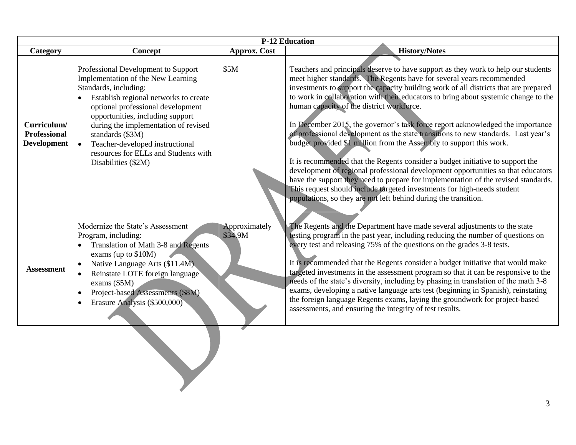| <b>P-12 Education</b>              |                                                                                                                                                                                                                                                                                                                       |                          |                                                                                                                                                                                                                                                                                                                                                                                                                                                                                                                                                                                                                                                                                                                                        |
|------------------------------------|-----------------------------------------------------------------------------------------------------------------------------------------------------------------------------------------------------------------------------------------------------------------------------------------------------------------------|--------------------------|----------------------------------------------------------------------------------------------------------------------------------------------------------------------------------------------------------------------------------------------------------------------------------------------------------------------------------------------------------------------------------------------------------------------------------------------------------------------------------------------------------------------------------------------------------------------------------------------------------------------------------------------------------------------------------------------------------------------------------------|
| Category                           | Concept                                                                                                                                                                                                                                                                                                               | <b>Approx.</b> Cost      | <b>History/Notes</b>                                                                                                                                                                                                                                                                                                                                                                                                                                                                                                                                                                                                                                                                                                                   |
| Curriculum/<br><b>Professional</b> | Professional Development to Support<br>Implementation of the New Learning<br>Standards, including:<br>Establish regional networks to create<br>$\bullet$<br>optional professional development<br>opportunities, including support<br>during the implementation of revised                                             | \$5M                     | Teachers and principals deserve to have support as they work to help our students<br>meet higher standards. The Regents have for several years recommended<br>investments to support the capacity building work of all districts that are prepared<br>to work in collaboration with their educators to bring about systemic change to the<br>human capacity of the district workforce.<br>In December 2015, the governor's task force report acknowledged the importance<br>of professional development as the state transitions to new standards. Last year's                                                                                                                                                                         |
| <b>Development</b>                 | standards (\$3M)<br>Teacher-developed instructional<br>$\bullet$<br>resources for ELLs and Students with<br>Disabilities (\$2M)                                                                                                                                                                                       |                          | budget provided \$1 million from the Assembly to support this work.<br>It is recommended that the Regents consider a budget initiative to support the<br>development of regional professional development opportunities so that educators<br>have the support they need to prepare for implementation of the revised standards.<br>This request should include targeted investments for high-needs student<br>populations, so they are not left behind during the transition.                                                                                                                                                                                                                                                          |
| <b>Assessment</b>                  | Modernize the State's Assessment<br>Program, including:<br>Translation of Math 3-8 and Regents<br>exams (up to \$10M)<br>Native Language Arts (\$11.4M)<br>Reinstate LOTE foreign language<br>$\bullet$<br>exams (\$5M)<br>Project-based Assessments (\$8M)<br>$\bullet$<br>Erasure Analysis (\$500,000)<br>$\bullet$ | Approximately<br>\$34.9M | The Regents and the Department have made several adjustments to the state<br>testing program in the past year, including reducing the number of questions on<br>every test and releasing 75% of the questions on the grades 3-8 tests.<br>It is recommended that the Regents consider a budget initiative that would make<br>targeted investments in the assessment program so that it can be responsive to the<br>needs of the state's diversity, including by phasing in translation of the math 3-8<br>exams, developing a native language arts test (beginning in Spanish), reinstating<br>the foreign language Regents exams, laying the groundwork for project-based<br>assessments, and ensuring the integrity of test results. |
|                                    |                                                                                                                                                                                                                                                                                                                       |                          |                                                                                                                                                                                                                                                                                                                                                                                                                                                                                                                                                                                                                                                                                                                                        |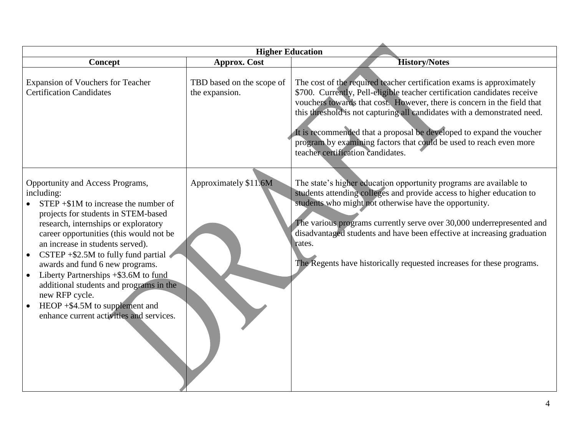| <b>Higher Education</b>                                                                                                                                                                                                                                                                                                                                                                                                                                                                                                                             |                                             |                                                                                                                                                                                                                                                                                                                                                                                                                                                                                             |  |
|-----------------------------------------------------------------------------------------------------------------------------------------------------------------------------------------------------------------------------------------------------------------------------------------------------------------------------------------------------------------------------------------------------------------------------------------------------------------------------------------------------------------------------------------------------|---------------------------------------------|---------------------------------------------------------------------------------------------------------------------------------------------------------------------------------------------------------------------------------------------------------------------------------------------------------------------------------------------------------------------------------------------------------------------------------------------------------------------------------------------|--|
| Concept                                                                                                                                                                                                                                                                                                                                                                                                                                                                                                                                             | <b>Approx. Cost</b>                         | <b>History/Notes</b>                                                                                                                                                                                                                                                                                                                                                                                                                                                                        |  |
| <b>Expansion of Vouchers for Teacher</b><br><b>Certification Candidates</b>                                                                                                                                                                                                                                                                                                                                                                                                                                                                         | TBD based on the scope of<br>the expansion. | The cost of the required teacher certification exams is approximately<br>\$700. Currently, Pell-eligible teacher certification candidates receive<br>vouchers towards that cost. However, there is concern in the field that<br>this threshold is not capturing all candidates with a demonstrated need.<br>It is recommended that a proposal be developed to expand the voucher<br>program by examining factors that could be used to reach even more<br>teacher certification candidates. |  |
| Opportunity and Access Programs,<br>including:<br>$STEP + $1M$ to increase the number of<br>projects for students in STEM-based<br>research, internships or exploratory<br>career opportunities (this would not be<br>an increase in students served).<br>CSTEP $+$ \$2.5M to fully fund partial<br>$\bullet$<br>awards and fund 6 new programs.<br>Liberty Partnerships +\$3.6M to fund<br>additional students and programs in the<br>new RFP cycle.<br>HEOP $+$ \$4.5M to supplement and<br>$\bullet$<br>enhance current activities and services. | Approximately \$11.6M                       | The state's higher education opportunity programs are available to<br>students attending colleges and provide access to higher education to<br>students who might not otherwise have the opportunity.<br>The various programs currently serve over 30,000 underrepresented and<br>disadvantaged students and have been effective at increasing graduation<br>rates.<br>The Regents have historically requested increases for these programs.                                                |  |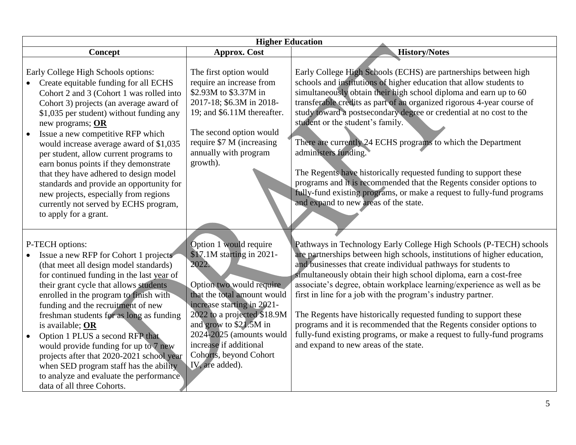| <b>Higher Education</b>                                                                                                                                                                                                                                                                                                                                                                                                                                                                                                                                                                                 |                                                                                                                                                                                                                                                                                                                   |                                                                                                                                                                                                                                                                                                                                                                                                                                                                                                                                                                                                                                                                                                                                                        |  |
|---------------------------------------------------------------------------------------------------------------------------------------------------------------------------------------------------------------------------------------------------------------------------------------------------------------------------------------------------------------------------------------------------------------------------------------------------------------------------------------------------------------------------------------------------------------------------------------------------------|-------------------------------------------------------------------------------------------------------------------------------------------------------------------------------------------------------------------------------------------------------------------------------------------------------------------|--------------------------------------------------------------------------------------------------------------------------------------------------------------------------------------------------------------------------------------------------------------------------------------------------------------------------------------------------------------------------------------------------------------------------------------------------------------------------------------------------------------------------------------------------------------------------------------------------------------------------------------------------------------------------------------------------------------------------------------------------------|--|
| Concept                                                                                                                                                                                                                                                                                                                                                                                                                                                                                                                                                                                                 | <b>Approx. Cost</b>                                                                                                                                                                                                                                                                                               | History/Notes                                                                                                                                                                                                                                                                                                                                                                                                                                                                                                                                                                                                                                                                                                                                          |  |
| Early College High Schools options:<br>Create equitable funding for all ECHS<br>Cohort 2 and 3 (Cohort 1 was rolled into<br>Cohort 3) projects (an average award of<br>\$1,035 per student) without funding any<br>new programs; OR<br>Issue a new competitive RFP which<br>would increase average award of \$1,035<br>per student, allow current programs to<br>earn bonus points if they demonstrate<br>that they have adhered to design model<br>standards and provide an opportunity for<br>new projects, especially from regions<br>currently not served by ECHS program,<br>to apply for a grant. | The first option would<br>require an increase from<br>\$2.93M to \$3.37M in<br>2017-18; \$6.3M in 2018-<br>19; and \$6.11M thereafter.<br>The second option would<br>require \$7 M (increasing<br>annually with program<br>growth).                                                                               | Early College High Schools (ECHS) are partnerships between high<br>schools and institutions of higher education that allow students to<br>simultaneously obtain their high school diploma and earn up to 60<br>transferable credits as part of an organized rigorous 4-year course of<br>study toward a postsecondary degree or credential at no cost to the<br>student or the student's family.<br>There are currently 24 ECHS programs to which the Department<br>administers funding.<br>The Regents have historically requested funding to support these<br>programs and it is recommended that the Regents consider options to<br>fully-fund existing programs, or make a request to fully-fund programs<br>and expand to new areas of the state. |  |
| P-TECH options:<br>Issue a new RFP for Cohort 1 projects<br>(that meet all design model standards)<br>for continued funding in the last year of<br>their grant cycle that allows students<br>enrolled in the program to finish with<br>funding and the recruitment of new<br>freshman students for as long as funding<br>is available; OR<br>Option 1 PLUS a second RFP that<br>$\bullet$<br>would provide funding for up to 7 new<br>projects after that 2020-2021 school year<br>when SED program staff has the ability<br>to analyze and evaluate the performance<br>data of all three Cohorts.      | Option 1 would require<br>\$17.1M starting in 2021-<br>2022.<br>Option two would require<br>that the total amount would<br>increase starting in 2021-<br>2022 to a projected \$18.9M<br>and grow to \$21.5M in<br>2024-2025 (amounts would<br>increase if additional<br>Cohorts, beyond Cohort<br>IV, are added). | Pathways in Technology Early College High Schools (P-TECH) schools<br>are partnerships between high schools, institutions of higher education,<br>and businesses that create individual pathways for students to<br>simultaneously obtain their high school diploma, earn a cost-free<br>associate's degree, obtain workplace learning/experience as well as be<br>first in line for a job with the program's industry partner.<br>The Regents have historically requested funding to support these<br>programs and it is recommended that the Regents consider options to<br>fully-fund existing programs, or make a request to fully-fund programs<br>and expand to new areas of the state.                                                          |  |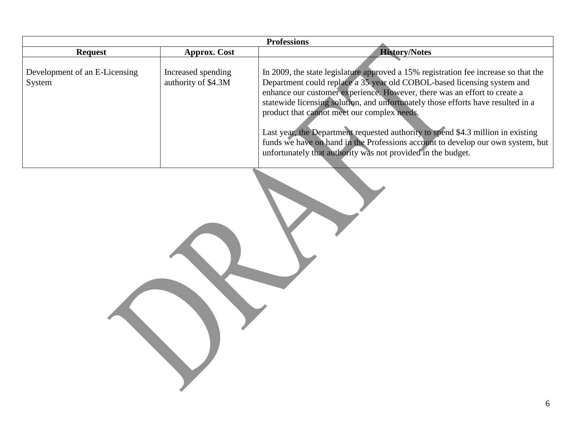|                                         |                                           | <b>Professions</b>                                                                                                                                                                                                                                                                                                                                                                                                                                                                                                                                                                                                    |
|-----------------------------------------|-------------------------------------------|-----------------------------------------------------------------------------------------------------------------------------------------------------------------------------------------------------------------------------------------------------------------------------------------------------------------------------------------------------------------------------------------------------------------------------------------------------------------------------------------------------------------------------------------------------------------------------------------------------------------------|
| <b>Request</b>                          | <b>Approx.</b> Cost                       | <b>History/Notes</b>                                                                                                                                                                                                                                                                                                                                                                                                                                                                                                                                                                                                  |
| Development of an E-Licensing<br>System | Increased spending<br>authority of \$4.3M | In 2009, the state legislature approved a 15% registration fee increase so that the<br>Department could replace a 35 year old COBOL-based licensing system and<br>enhance our customer experience. However, there was an effort to create a<br>statewide licensing solution, and unfortunately those efforts have resulted in a<br>product that cannot meet our complex needs.<br>Last year, the Department requested authority to spend \$4.3 million in existing<br>funds we have on hand in the Professions account to develop our own system, but<br>unfortunately that authority was not provided in the budget. |

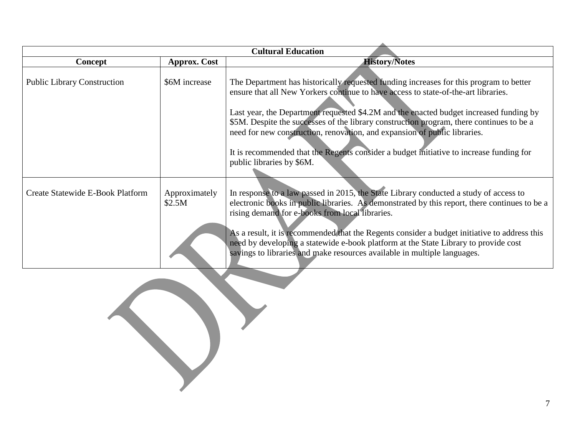| <b>Cultural Education</b>          |                         |                                                                                                                                                                                                                                                                                                                                                                                                                                                                                                                                                                         |  |
|------------------------------------|-------------------------|-------------------------------------------------------------------------------------------------------------------------------------------------------------------------------------------------------------------------------------------------------------------------------------------------------------------------------------------------------------------------------------------------------------------------------------------------------------------------------------------------------------------------------------------------------------------------|--|
| Concept                            | <b>Approx. Cost</b>     | <b>History/Notes</b>                                                                                                                                                                                                                                                                                                                                                                                                                                                                                                                                                    |  |
| <b>Public Library Construction</b> | \$6M increase           | The Department has historically requested funding increases for this program to better<br>ensure that all New Yorkers continue to have access to state-of-the-art libraries.<br>Last year, the Department requested \$4.2M and the enacted budget increased funding by<br>\$5M. Despite the successes of the library construction program, there continues to be a<br>need for new construction, renovation, and expansion of public libraries.<br>It is recommended that the Regents consider a budget initiative to increase funding for<br>public libraries by \$6M. |  |
| Create Statewide E-Book Platform   | Approximately<br>\$2.5M | In response to a law passed in 2015, the State Library conducted a study of access to<br>electronic books in public libraries. As demonstrated by this report, there continues to be a<br>rising demand for e-books from local libraries.<br>As a result, it is recommended that the Regents consider a budget initiative to address this<br>need by developing a statewide e-book platform at the State Library to provide cost<br>savings to libraries and make resources available in multiple languages.                                                            |  |